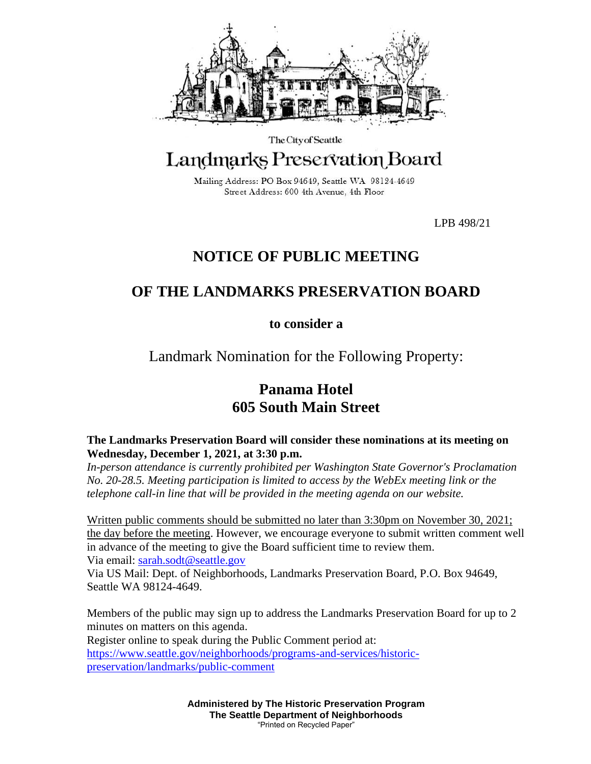

### The City of Seattle Landmarks Preservation Board

Mailing Address: PO Box 94649, Seattle WA 98124-4649 Street Address: 600 4th Avenue, 4th Floor

LPB 498/21

# **NOTICE OF PUBLIC MEETING**

## **OF THE LANDMARKS PRESERVATION BOARD**

**to consider a**

Landmark Nomination for the Following Property:

# **Panama Hotel 605 South Main Street**

#### **The Landmarks Preservation Board will consider these nominations at its meeting on Wednesday, December 1, 2021, at 3:30 p.m.**

*In-person attendance is currently prohibited per Washington State Governor's Proclamation No. 20-28.5. Meeting participation is limited to access by the WebEx meeting link or the telephone call-in line that will be provided in the meeting agenda on our website.*

Written public comments should be submitted no later than 3:30pm on November 30, 2021; the day before the meeting. However, we encourage everyone to submit written comment well in advance of the meeting to give the Board sufficient time to review them. Via email: [sarah.sodt@seattle.gov](mailto:sarah.sodt@seattle.gov)

Via US Mail: Dept. of Neighborhoods, Landmarks Preservation Board, P.O. Box 94649, Seattle WA 98124-4649.

Members of the public may sign up to address the Landmarks Preservation Board for up to 2 minutes on matters on this agenda. Register online to speak during the Public Comment period at: [https://www.seattle.gov/neighborhoods/programs-and-services/historic](https://www.seattle.gov/neighborhoods/programs-and-services/historic-preservation/landmarks/public-comment)[preservation/landmarks/public-comment](https://www.seattle.gov/neighborhoods/programs-and-services/historic-preservation/landmarks/public-comment)

> **Administered by The Historic Preservation Program The Seattle Department of Neighborhoods** "Printed on Recycled Paper"